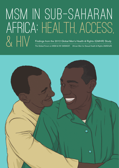## MSM in sub-saharan africa: health, access, Findings from the 2012 Global Men's Health & Rights (GMHR) Study<br>The Global Forum on MSM & HIV (MSMGF) African Men for Sexual Health & Rights (AMSHeR The Global Forum on MSM & HIV (MSMGF) African Men for Sexual Health & Rights (AMSHeR)

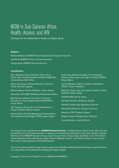### MSM in Sub-Saharan Africa: Health, Access, and HIV

Findings from the Global Men's Health and Rights Study

#### **Authors:**

Keletso Makofane, MSMGF Senior Research and Programs Associate Jack Beck, MSMGF Director of Communications George Ayala, MSMGF Executive Director

#### **Contributors:**

Berry Nibogora, Delane Kalembo, & Kene Esom, African Men for Sexual Health and Rights (AMSHeR) Johannesburg, South Africa

Moses Twinomujuni & Robert Karemire, Frank and Candy, Kampala, Uganda

McLean Kabwe, Friends of Rainka, Lusaka, Zambia

Dawie Nel, OUT LGBT Well-Being, Pretoria, South Africa

Mac-Darling Cobbinah, The Centre for Popular Education on Human Rights Ghana (CEPEHRG), Accra, Ghana

Gift Trapence, The Centre for the Development of People (CEDEP), Blantyre, Malawi

Michael Akanji, Olumide Makanjuola, & Joseph Akoro, The Initiative for Equal Rights (TIER), Lagos, Nigeria

Kadiri Audu & Ifeanyi Orazulike, The International Center on Advocacy for the Right to Health (ICARH), Abuja, Nigeria

Samuel Matsikure, Gays & Lesbians of Zimbabwe (GALZ), Harare, Zimbabwe

MaqC Eric Gitau, Gay and Lesbian Coalition of Kenya (GALCK), Nairobi, Kenya

ISHTAR MSM, Nairobi, Kenya

Out Right Namibia, Windhoek, Namibia

Rainbow Candle Light, Bujumbura, Burundi

Alternatives Cameroun, Douala, Cameroon

Edited by: EDIT, Portland, Oregon

Design & Layout: Design Action Collective

Cover Illustration: Jenifer Wofford

This research was supported by the **MSMGF Research Group**, a multidisciplinary research team with more than two decades of accumulated experience in rigorous community-based participatory and action research methods. Members of the MSMGF Research Group include Sonya Arreola, George Ayala, Jack Beck, Tri Do, Pato Hebert, Keletso Makofane, Glenn-Milo Santos, Ayden Scheim, Matthew Thomann, and Patrick A Wilson. Learn more at [http://www.msmgf.org/index.cfm/id/308/Research/.](http://www.msmgf.org/index.cfm/id/308/Research/)

This work is made possible through funding support from The Bill and Melinda Gates Foundation and the Ministry of Foreign Affairs of the Netherlands' Bridging the Gaps Program.

Copyright © 2014 by the Global Forum on MSM & HIV (MSMGF)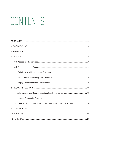# CONTENTS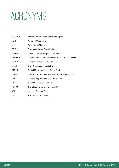# <span id="page-3-0"></span>ACRONYMS

| AMSHeR         | African Men for Sexual Health and Rights                 |
|----------------|----------------------------------------------------------|
| AOR            | Adjusted Odds Ratio                                      |
| ARV            | Antiretroviral Medication                                |
| <b>CBO</b>     | Community-based Organization                             |
| <b>CEDEP</b>   | Centre for the Development of People                     |
| <b>CEPEHRG</b> | Centre for Popular Education and Human Rights, Ghana     |
| <b>GALCK</b>   | Gay and Lesbian Coalition of Kenya                       |
| GALZ           | Gays & Lesbians of Zimbabwe                              |
| <b>GMHR</b>    | Global Men's Health and Rights Study                     |
| <b>ICARH</b>   | International Centre on Advocacy for the Right to Health |
| <b>LGBT</b>    | Lesbian, Gay, Bisexual, and Transgender                  |
| <b>MSM</b>     | Men Who Have Sex with Men                                |
| <b>MSMGF</b>   | The Global Forum on MSM and HIV                          |
| <b>NSP</b>     | National Strategic Plan                                  |
| <b>TIER</b>    | The Initiative for Equal Rights                          |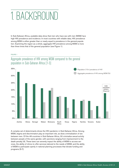# <span id="page-4-0"></span>1. BACKGROUI

In Sub-Saharan Africa, available data show that men who have sex with men (MSM) face high HIV prevalence and incidence. In most countries with reliable data, HIV prevalence among MSM is either greater than or nearly equal to prevalence in the general population. Examining the region as a whole, aggregate HIV prevalence among MSM is more than three times that of the general population (see Figure 1).

#### FIGURE 1





A complex set of determinants drives the HIV pandemic in Sub-Saharan Africa. Among MSM, stigma and discrimination play an important role, as does criminalization of sex between men. Of the 48 countries in Sub-Saharan Africa, 30 criminalize sexual activity between people of the same gender, with sanctions ranging from imprisonment to the death penalty [4]. These laws can severely impact the ability of MSM to access services, the ability of clinics to offer services tailored to the needs of MSM, and the ability of MSM to participate openly in national planning processes that dictate funding and programs [5-7].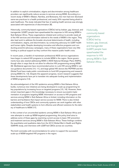In addition to explicit criminalization, stigma and discrimination among healthcare providers can significantly reduce access to services among MSM. According to a recent study of MSM in Malawi, Namibia, and Botswana, few men had ever disclosed same-sex practices to a health professional, and nearly 20% reported being afraid to seek healthcare. The study indicated that fear of seeking health services was strongly associated with experiences of discrimination [8].

Historically, community-based organizations (CBOs) led by lesbian, gay, bisexual, and transgender (LGBT) people have spearheaded the response to HIV among MSM in Sub-Saharan Africa. These organizations initiated and continue to provide nearly all of the HIV services and information tailored to the needs of MSM in the region. They also lead work to address the broader structural determinants of health, including criminalization, stigma, and discrimination, by conducting advocacy for LGBT health and human rights. Despite developing innovative and effective programs and conducting powerful advocacy campaigns, many of these organizations have very little funding or political support as they confront this massive public health crisis.

In recent years, a handful of mainstream professional AIDS service organizations have begun to extend HIV programs to include MSM in the region. Some governments have also started addressing MSM in AIDS National Strategic Plans (NSPs), though often in ways that do not allow for effective HIV programming among MSM [9]. Multilateral agencies have recommended action to curb HIV among MSM in various guidance documents [10, 11], and large global HIV donors like PEPFAR and the Global Fund have made public commitments to fund HIV programming and research among MSM [12, 13]. Despite this apparent progress, recent research suggests that these developments have yet to translate into adequate funding and implementation of MSM programs [14].

As acknowledgement of the HIV epidemics among MSM in Sub-Saharan Africa builds, numerous new initiatives are being developed to scale-up programming for key populations by increasing focus on targeted programs [15, 16]. However, there remain important gaps in the knowledge necessary to ensure successful implementation of programs targeting MSM. Information on access to HIV programs and services among MSM in Sub-Saharan Africa is limited, including information on the barriers and facilitators that impact service access for MSM. There is also limited understanding of how CBOs and community systems can work together with other stakeholders and health systems to form effective and efficient solutions for the delivery of healthcare to MSM [17].

In this context of an uncontrolled epidemic among MSM in Sub-Saharan Africa and new attempts to scale-up MSM-targeted programming, this policy brief aims to address some of these gaps by examining current access to basic HIV prevention and treatment services among MSM in Sub-Saharan Africa. These findings combine the quantitative and qualitative data from the 2012 Global Men's Health and Rights (GMHR) study, and interviews with LGBT-led CBOs across six countries.

The brief concludes with recommendations for action to support the successful scale-up of MSM-targeted HIV programs in the region.

Historically, community-based organizations (CBOs) led by lesbian, gay, bisexual, and transgender (LGBT) people have spearheaded the response to HIV among MSM in Sub-Saharan Africa.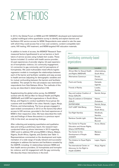## <span id="page-6-0"></span>2. METHODS

In 2012, the Global Forum on MSM and HIV (MSMGF) developed and implemented a global multilingual online quantitative survey to identify and explore barriers and facilitators HIV service access for MSM. Respondents were asked to rate the ease with which they could access free or low cost condoms, condom-compatible lubricants, HIV testing, HIV treatment, and MSM-targeted HIV education materials.

In addition to levels of access, the MSMGF Research Team measured factors hypothesized to act as barriers or facilitators of service access using multiple-item scales. These factors included: (i) comfort with health service provider; (ii) past experiences of provider stigma; (iii) past experiences of homophobic violence; (iv) community engagement; (v) connection to gay community; and (vi) perceptions of homophobia. We used multivariable mixed effects logistic regression models to investigate the relationships between each of the barrier and facilitator variables and easy access to health services (adjusting for demographic variables and for mutual confounding between the barriers and facilitator variables). The sample for this sub-analysis was restricted to respondents from Sub-Saharan Africa. The methods of this survey are described in detail elsewhere [18].

Supplementing the global online survey, the MSMGF worked with the African Men for Sexual Health and Rights (AMSHeR) and LGBT-led organizations in South Africa, Kenya, and Nigeria to conduct qualitative focus group discussions with local MSM in five cities: Nairobi, Lagos, Abuja, Pretoria, and Johannesburg. The focus groups engaged in open-ended conversations in 2012 on the factors that affect access to HIV services, grounded in the lived experiences of MSM in their respective cities. We have described the methods and findings of these discussions in a previous report [19]. In this brief, we excerpt key findings.

After collecting and analyzing quantitative and qualitative data and writing a preliminary report, the research team conducted follow-up phone interviews in 2013 regarding CBO work to address HIV among MSM in Ghana, Malawi, Nigeria, South Africa, Uganda, and Zambia (see Table 1). Representatives commented on the development and implementation of a wide range of locally relevant and successful strategies to address the barriers and facilitators revealed by the GMHR, including: (i) relationships between MSM and their health service providers; (ii) homophobia and homophobic violence; and (iii) engagement with the gay community. We describe these interventions in this brief.

#### TABLE 1

### Contributing community-based organizations

| Organization                                         | Location                      |
|------------------------------------------------------|-------------------------------|
| African Men for Sexual Health<br>and Rights (AMSHeR) | Johannesburg,<br>South Africa |
| Alternatives Cameroun                                | Douala,                       |
|                                                      | Cameroon                      |
| Frank and Candy                                      | Kampala,                      |
|                                                      | Uganda                        |
| Friends of Rainka                                    | Lusaka,                       |
|                                                      | Zambia                        |
| Gay and Lesbian Coalition of<br>Kenya (GALCK)        | Nairobi, Kenya                |
| Gays & Lesbians of Zimbabwe                          | Harare,                       |
| (GALZ)                                               | Zimbabwe                      |
| <b>ISHTAR MSM</b>                                    | Nairobi, Kenya                |
| <b>OUT LGBT Well-Being</b>                           | Pretoria,                     |
|                                                      | South Africa                  |
| Out Right Namibia                                    | Windhoek,                     |
|                                                      | Namibia                       |
| Rainbow Candle Light                                 | Bujumbura,                    |
|                                                      | Burundi                       |
| The Center for Popular                               | Accra, Ghana                  |
| Education and Human Rights,<br>Ghana (CEPEHRG)       |                               |
| The Center for the                                   | Blantyre,                     |
| Development of People                                | Malawi                        |
| (CEDEP)                                              |                               |
| The Initiative for Equal Rights<br>(TIER)            | Lagos, Nigeria                |
| The International Center on                          | Abuja, Nigeria                |
| Advocacy for the Right to                            |                               |
| Health (ICARH)                                       |                               |
|                                                      |                               |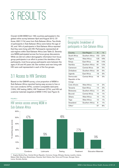# <span id="page-7-0"></span>3. RESULTS

Overall, 6,095 MSM from 169 countries participated in the global online survey between April and August 2012. Of those, 692 (11%) were from Sub-Saharan Africa. Two-thirds of participants in Sub-Saharan Africa were below the age of 30, and 19% of participants in Sub-Saharan Africa reported that they were living with HIV. Participants represented all sub-regions within Sub-Saharan Africa (see Table 2). Seventyone MSM participated across five focus group discussions. While we did not collect demographic information from focus group participants in an effort to protect the identities of the participants, most focus group participants were between the ages of 20 and 40 years old. Sex workers and men living with HIV were well represented in each of the five groups.

### 3.1 Access to HIV Services

Based on the GMHR survey, a low proportion of MSM in Sub-Saharan Africa reported having easy access to free or low cost condoms (47%), condom-compatible lubricants (19%), HIV testing (48%), HIV Treatment (27%), and HIV educational materials targeted at MSM (14%) (see Figure 2).

#### FIGURE 2



HIV service access among MSM in Sub-Saharan Africa

### TABLE 2

### Geographic breakdown of participants in Sub-Saharan Africa

| Sub-Region         | N   | 0/0   |
|--------------------|-----|-------|
| Southern Africa    | 152 | 22%   |
| West Africa        | 125 | 18%   |
| East Africa        | 95  | 14%   |
| Southern Africa    | 81  | 12%   |
| Central Africa     | 34  | 5%    |
| Southern Africa    | 34  | 5%    |
| East Africa        | 19  | 3%    |
| Central Africa     | 18  | 3%    |
|                    |     |       |
|                    |     |       |
| West Africa        | 14  | 2%    |
| East Africa        | 14  | 2%    |
| Southern Africa    | 11  | 2%    |
| Central Africa     | 10  | 1%    |
| West Africa        | 10  | 1%    |
| <b>West Africa</b> | 10  | 1%    |
| Southern Africa    | 8   | $1\%$ |
|                    | 57  | 8%    |
|                    |     |       |

1 Angola, Burkina Faso, Central African Republic, Comoros, Congo, Ethiopia, Guinea, Lesotho, Liberia, Malawi, Mali, Mauritius, Mozambique, Rwanda, Saint Helena, Sao Tome and Principe, Senegal, Sierra Leone, Somalia, Zambia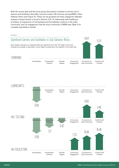Both the survey data and the focus group discussions revealed a common set of barriers and facilitators that affect access to basic HIV services among MSM in Sub-Saharan Africa (see Figure 3). These can be grouped into three categories (detailed analysis of these factors is found in Section 3.2): (i) relationship with healthcare providers; (ii) experience of homophobia and homophobic violence in the wider community; and (iii) engagement with the local community of MSM (see Table 5 for complete quantitative results).

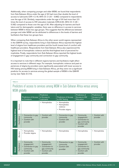Additionally, when comparing younger and older MSM, we found that respondents from Sub-Saharan Africa under the age of 30 had more than double the level of access to lubricants ( $OR = 2.18$ ,  $95\%$  CI:  $[1.23 - 3.86]$ ) compared to respondents over the age of 30. Similarly, respondents under the age of 30 had more than 2.5 times the level of access to HIV education materials (OR=2.60, 95% CI: [1.26 – 5.39]) compared to those over the age of 30. After adjusting for barriers and facilitators and for demographic variables, there was no difference in access to services between MSM in these two age groups. This suggests that the differences between younger and older MSM can be attributed to differences in the levels of barriers and facilitators that these two groups face.

When comparing Sub-Saharan Africa to the other seven world regions represented in the GMHR survey, respondents living in Sub-Saharan Africa reported the highest level of stigma from healthcare providers and the fourth lowest level of comfort with healthcare providers. Respondents from Sub-Saharan Africa also experienced the highest level of homophobic violence and the third-highest level of perceived homophobia. Finally, respondents from Sub-Saharan Africa reported the highest levels of engagement in gay community and connection to gay community.

It is important to note that in different regions barriers and facilitators might affect access to services in different ways. For example, homophobic violence and past experiences of stigma by providers were significantly associated with lower access to HIV testing among MSM living in Sub-Saharan Africa, yet they were not a significant predictor for access to services among the global sample of MSM in the GMHR survey (see Table 3) [10].

#### TABLE 3

### Predictors of access to services among MSM in Sub-Saharan Africa versus among MSM globally

|                    |                 | <b>Predictors of Access</b><br>to Condoms                                                                       | <b>Predictors</b><br>of Access to<br>Lubricants                                                                              | <b>Predictors of Access</b><br>to HIV Testing                                        | Predictors of<br><b>Access to HIV</b><br>Education                                                                           | Predictors of<br>Access to HIV<br>Treatment* |
|--------------------|-----------------|-----------------------------------------------------------------------------------------------------------------|------------------------------------------------------------------------------------------------------------------------------|--------------------------------------------------------------------------------------|------------------------------------------------------------------------------------------------------------------------------|----------------------------------------------|
|                    | <b>Barriers</b> |                                                                                                                 | • Homophobia                                                                                                                 | Homophobia<br>$\bullet$<br>Homophobic<br>violence<br>Provider stigma<br>$\bullet$    |                                                                                                                              |                                              |
| Sub-Saharan Africa | Facilitators    | Connection to gay<br>$\bullet$<br>community<br>Comfort with<br>$\bullet$<br>provider                            | • Comfort with<br>provider                                                                                                   | Connection to gay<br>$\bullet$<br>community<br>Comfort with<br>$\bullet$<br>provider | Community<br>$\bullet$<br>engagement<br>Connection to<br>$\bullet$<br>gay community<br>Comfort with<br>$\bullet$<br>provider | Comfort with<br>$\bullet$<br>provider        |
|                    | <b>Barriers</b> | Homophobia<br>$\bullet$<br>Provider stigma                                                                      | • Homophobia                                                                                                                 | Homophobia<br>$\bullet$                                                              | • Homophobia                                                                                                                 | Homophobia<br>$\bullet$                      |
| Global             | Facilitators    | Community<br>$\bullet$<br>engagement<br>Connection to gay<br>community<br>Comfort with<br>$\bullet$<br>provider | Community<br>$\bullet$<br>engagement<br>Connection to<br>$\bullet$<br>gay community<br>Comfort with<br>$\bullet$<br>provider | Connection to gay<br>$\bullet$<br>community<br>Comfort with<br>$\bullet$<br>provider | Community<br>$\bullet$<br>engagement<br>Connection to<br>$\bullet$<br>gay community<br>Comfort with<br>$\bullet$<br>provider | Comfort with<br>$\bullet$<br>provider        |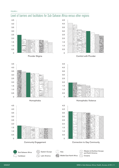

4.5











Community Engagement Connection to Gay Community







Western & Northern Europe and North America Oceania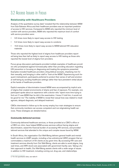### <span id="page-11-0"></span>3.2 Access Issues in Focus

#### **Relationship with Healthcare Providers**

Analysis of the quantitative survey data<sup>2</sup> revealed that the relationship between MSM from Sub-Saharan Africa and their healthcare providers was an important predictor of access to HIV services. Compared to MSM who reported the minimum level of comfort with service providers, MSM who reported the maximum level of comfort with service providers were:

- 3.5 times more likely to report easy access to HIV testing
- 5.2 times more likely to report easy access to condoms
- 15.5 times more likely to report easy access to MSM-tailored HIV education materials

Those who reported the highest level of stigma from healthcare providers reported being less than half as likely to report easy access to HIV testing as those who reported the lowest level of stigma from providers.

Focus group discussion participants provided multiple examples of healthcare providers who proselytized against homosexuality rather than providing education regarding HIV prevention or focusing on diagnosing and treating the symptoms presented. Examples included healthcare providers citing biblical excerpts, chastising men for their sexuality, and bringing in other staff to "look at the MSM." Experiencing such frequent mistreatment, participants preferred to protect their sense of self and emotional well-being by avoiding healthcare settings rather than face persistent verbal abuse at the hands of healthcare providers.

Explicit examples of discrimination toward MSM were accompanied by implicit acts of stigma that created environments of shame and fear of exposure. For example, one participant spoke about an experience with a doctor who "spent more time trying to find out if I was MSM than he did in the examination. I knew if I told him, it would not be good for me." The inability of MSM to reveal their sexual lives was related to misdiagnosis, delayed diagnosis, and delayed treatment.

CBOs interviewed in follow-up to the survey employ four main strategies to ensure that community members can access competent and non-stigmatizing health services. These strategies are detailed below.

#### *Community-delivered services*

Community-delivered healthcare services, or those provided at a CBO's office or a CBO-run clinic, have helped MSM access services without facing stigma and discrimination, eased the financial burden of accessing HIV services, and provided tailored services that attended to the unique and complex issues faced by MSM.

In South Africa, the organization Out Well-Being delivers general health and mental health services to LGBT people, including a free antiretroviral (ARV) program that accommodates a maximum of 50 clients at any given time. By accessing HIV care and treatment services directly from Out Well-Being, clients are able to avoid stigma, long wait times, and ARV stock-outs associated with government facility care. Taking a holistic approach to health, Out Well-Being assists clients with a wide range of issues in addition to HIV treatment, including coming out, drug use, and relationships.

<sup>2</sup> For full quantitative data, see table 6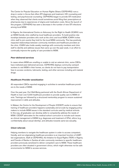The Centre for Popular Education on Human Rights Ghana (CEPEHRG) runs a drop-in center in Accra that offers STI diagnosis and treatment, HIV counseling and testing, and psychosocial counseling. CEPHERG began to provide STI medication when they observed that clients would sometimes avoid filling their prescriptions at pharmacies due to experiences of stigma and medication costs. Since the launch of this program, CEPHERG has seen a decrease in the number of new STI infections among local MSM.

In Nigeria, the International Centre on Advocacy for the Right to Health (ICARH) runs an MSM-friendly clinic staffed by local healthcare providers. To build positive relationships between providers who work at the clinic and local MSM, ICARH invites clinic staff to join events they hold for the local MSM community. This has positively impacted relationships between community members and healthcare providers at the clinic. ICARH also holds weekly meetings with community members and clinic staff to identify and address issues that came up over the past week, in an effort to continually improve the quality of care provided to MSM.

#### *Peer-delivered services*

In cases where MSM are unwilling or unable to visit an external clinic, some CBOs have instituted peer-delivered services. CEPEHRG deploys community outreach workers to visit MSM in their homes, so clients do not have to pay transportation fees to access condoms, lubricants, testing, and other services including anti-malarial drugs.

#### *Healthcare Provider sensitization*

All respondent CBOs reported engaging in activities to sensitize healthcare providers to the needs of MSM.

Over the past year, Out Well-Being partnered with the South African Department of Health to train over 5,000 healthcare providers to provide quality care to MSM clients. Trainings are followed by a structured mentorship program to ensure sustained improvement in skills and attitudes.

In Malawi, the Centre for the Development of People (CEDEP) works to ensure that training of healthcare providers happens sustainably and at scale by engaging policy makers to include MSM issues in the standard curricula used by medical schools. In this way, all graduates can develop skills to competently address the needs of MSM. CEDEP advocates for the medical school curriculum to include such issues as clinical management of MSM (e.g. diagnoses and treatment of STIs), ethics (e.g. confidentiality about sexual identity), and attitudes towards same-sex sexuality.

#### *Client referrals*

Helping members to navigate the healthcare system in order to access competent, friendly, and non-stigmatizing healthcare providers is an important function of LGBTled organizations. Staff at CEPEHRG, the Initiative for Equal Rights (TIER) in Nigeria, and Friends of Rainka in Zambia all refer community members to specific healthcare providers previously sensitized to deliver competent care to MSM. These healthcare providers are often situated in government clinics, which might otherwise not be safe environments for MSM to access services.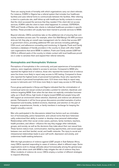<span id="page-13-0"></span>There are varying levels of formality with which organizations carry out client referrals. For instance, ICARH in Nigeria has a referral system that includes four healthcare facilities and uses referral forms to communicate between the facilities. After referring a client to a particular site, staff follow-up with healthcare facility contacts to ensure that the client accessed the services that they needed. If the client did not access services, ICARH calls the client to learn what happened. In contrast, CEPERGH, TIER and Friends of Rainka refer clients to individual healthcare providers in specific facilities. These providers will usually have been trained to provide services to MSM.

Beyond referrals, CBOs sometimes take on the additional role of ensuring that community members access care. For example, when Out Well-Being's 50 ARV provision slots are full, they play an overall case management role for clients that access ART in government clinics, providing additional HIV care services including pathology, CD4 count, and adherence counseling and monitoring. In Uganda, Frank and Candy maintains a database of friendly providers in the country to share with other healthcare organizations that serve MSM. In addition, Frank and Candy assists LGBT-led CBOs in different parts of the country to initiate contact with local healthcare providers in order to sensitize them and expand their referral networks.

#### **Homophobia and Homophobic Violence**

Perceptions of homophobia in the community, and past experiences of homophobic violence, were negatively related to access to services. Compared to MSM who reported the highest level of violence, those who reported the lowest level of violence were five times more likely to report easy access to HIV testing. Compared to those who reported the highest levels of perceived homophobia, those who reported the lowest levels of perceived homophobia were 12.5 times more likely to report easy access to lubricants and 12.5 times more likely to report easy access to HIV testing.

Focus group participants in Kenya and Nigeria indicated that the criminalization of consensual same-sex sexual conduct provides a pretext for extortion, blackmail, and violence targeting MSM. Even when the law does not explicitly criminalize homosexuality, as in South Africa, high levels of stigma toward MSM and people living with HIV support an environment where extortion, blackmail, and violence are allowed to persist. Participants in all five focus group discussions provided examples of police harassment and brutality, landlord evictions, blackmail, and extortion on the part of strangers, acquaintances, friends, or family members in exchange for keeping the target's sexuality a secret.

Men who participated in the discussions related how factors such as criminalization of homosexuality, police harassment, and cultural norms that favor heterosexuality undermined their ability to sustain or develop close personal relationships. Relationships within their social circles—peers, partners, family members, teachers, health providers, and others— influence the way they engage other individuals, groups, and society, as well as the decisions they make about their own sexual lives. These factors reduce trust, communication, learning opportunities, and social support between men and their familial, social, and health networks. The injury to social and interpersonal relationships leads to poor self-worth, depression and anxiety, and undermines health-seeking behaviors.

With the high prevalence of violence against LGBT people in Sub-Saharan Africa, many CBOs reported responding to cases of violence, albeit in different ways. Some organizations work to change attitudes about homosexuality among the general population, while others work with MSM to help mitigate the risk of violence they face. When incidents of violence do occur, CBOs employ a number of different strategies to respond effectively.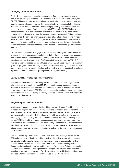#### *Changing Community Attitudes*

Public discussions around sexual orientation are often beset with misinformation and mistaken perceptions of the LGBT community. CEDEP, Frank and Candy, and CEPERGH conduct interventions to improve public discourse about homosexuality, dispel popular myths, and highlight the relationship between societal attitudes and access to much needed services. They also engage policy makers to educate them on the levels and impact of violence faced by LGBT people. CEDEP holds workshops for members of parliament that explain how homophobia impinges on HIV programming and service access. As one respondent commented, "When the lower house signed the same sex marriage prohibition bill, it affected our events immediately. Prior to the date the bill passed, over 500 MSM accessed our services on a monthly basis. After the bill was passed, our number of clients dropped drastically to 150 per month, and most of those people needed to come in to get antiretroviral medication."

CEDEP found it effective to engage religious leaders, HIV organizations, healthcare organizations, and media in radio debates and other forums to ensure that messages sent to the broader community are not homophobic. Over time, these interventions have improved public dialogue on LGBT issues in Malawi. Similarly, CEPEHRG worked to address broader social attitudes toward LGBT people through a community theater program. While the program was successful in creating much needed dialogue, it was difficult to sustain due to a lack of funding and increased risk of violence against members of the theater group given their heighted visibility.

#### *Equipping MSM to Manage Risk of Violence*

Because social change can take a significant amount of time, many organizations take measures to protect their local MSM community against sustained threats of violence. ICARH trains local MSM on how to dress in order to minimize the risk of being targeted for violence. CEPRGH provides security training to equip members to assess the risks they face during their daily activities and craft personal strategies to avoid or handle violence.

#### *Responding to Cases of Violence*

While most organizations respond to individual cases of violence faced by community members by helping members to identify resources and report or document the cases of violence, some also develop systems to respond to violence through external partnerships. For example, TIER conducts bi-monthly sensitization workshops for security agencies, including the police, the civil defense, and private security companies. TIER initiated this program because security agencies were not only failing to respond to violence faced by LGBT people, they were sometimes responsible for inflicting it. Since the program's launch, TIER has recorded several instances of sensitized security agency members responding effectively to threats of violence against TIER members.

Out Well-Being is part of a National Task Team that works closely with the South African Department of Justice to address violence based on sexual orientation and gender identity. In order to ensure that cases are dealt with appropriately by the criminal justice system, the National Task Team holds monthly meetings with the Department of Justice, the police, and the National Prosecuting Authority to monitor reported cases of hate crimes against LGBT people. The National Task Team has launched a government-sponsored TV advertisement that highlights hate crimes, and provided a toll-free number for the public to use to report hate crimes.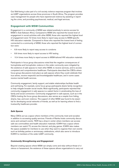<span id="page-15-0"></span>Out Well-being is also part of a civil society violence response program that involves six LGBT organizations across three provinces in South Africa. The program provides case management for people who have experienced violence by assisting in reporting the crime, and providing psychosocial, medical, and legal services.

#### **Engagement with MSM Communities**

Engagement in a community of MSM was related positively to service access for MSM in Sub-Saharan Africa. Compared to MSM who reported the lowest level of engagement in social activities with other MSM, those who reported the highest level of engagement were 7.2 times more likely to report easy access to MSM-specific HIV education materials. Compared to those who reported the lowest level of feeling connected to a community of MSM, those who reported the highest level of connection were:

- 6.9 more likely to report easy access to condoms
- 8.6 times more likely to report access to HIV testing
- 10.4 times more likely to report access to MSM-tailored HIV education materials

Participants in focus group discussions noted that the negative consequences of homophobia and homophobic violence in the wider community were mitigated by the existence of safe spaces to meet other MSM, to receive services, and to access competent and comprehensive healthcare. Participants described the CBOs where focus group discussions took place as safe spaces where they could celebrate their true selves, receive respectful and knowledgeable healthcare, and in some cases receive mental health services.

Community engagement, family support, and stable relationships facilitate health and well-being. For example, some focus group participants desire family recognition to help mitigate broader social insults. Most significantly, participants reported that community engagement in safe spaces is a salient factor in ameliorating the loss of family and social connection. Community engagement in safe spaces, such as in the CBOs hosting the focus group discussions, also serves as a respite from hiding, shame, fear, and even violence. The support of other MSM was found to be essential for developing social networks of friends, as well as for learning where to find a trustworthy healthcare provider.

#### *Safe Spaces*

Many CBOs act as a space where members of the community meet and socialize in addition to accessing quality services. Friends of Rainka hosts community discussions and outreach events. TIER has a drop-in center where members can access safe sex commodities and health education materials. ICARH has a space where members can watch TV, access the internet, and play games. ICARH also makes the space available for members to use when they want to organize their own events such as birthday parties or anniversary celebrations, which also serve to introduce ICARH to members of the wider LGBT community.

#### *Community Strengthening and Engagement*

Beyond creating spaces where MSM can simply come and relax without threat of violence or harassment, the existence of these spaces allows organizations to carry out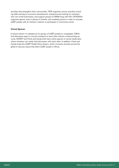activities that strengthen their communities. TIER organizes various activities including skills training for economic development, entrepreneurial training for members who own small businesses, and support groups for MSM living with HIV. CEPERGH organizes games, trips to places of interest, and modeling shows in order to motivate LGBT people with an interest in fashion to participate in community events.

#### *Virtual Spaces*

In places where it is dangerous for groups of LGBT people to congregate, CBOs find alternative ways to connect members to each other without compromising security. CEDEP and Frank and Candy both have online spaces on social media sites where members can safely hold discussion with each other. In addition, Frank and Candy hosts the LGBTI Health Africa listserv, which connects activists around the globe to discuss issues that affect LGBT people in Africa.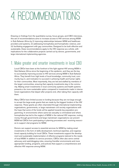# <span id="page-17-0"></span>4. RECOMMENDATIONS

Drawing on findings from the quantitative survey, focus groups, and CBO interviews, this set of recommendations aims to increase access to HIV services among MSM in Sub-Saharan Africa by (i) improving relationships between MSM and healthcare providers and systems, (ii) addressing homophobia and homophobic violence, and (iii) facilitating engagement with gay communities. Designed to be both effective and sustainable, these recommendations apply to the HIV response as a whole, with implications for the collaborative projects carried out by donors, governments, and large international implementing agencies.

### 1. Make greater and smarter investments in local CBO

Local CBOs have been at the forefront of the fight against HIV among MSM in Sub-Saharan Africa since the beginning of the epidemic, and they are the key to successfully improving access to HIV services among MSM in Sub-Saharan Africa. They benefit from high levels of local knowledge, community trust, community buy-in, and motivation to succeed in achieving health and human rights for their communities. Most importantly, they are led and staffed by members of the target communities, ensuring that capacity investments stay in the community. Making smart investments in local community systems and health systems presents a far more sustainable option compared to investments made in international organizations that depart after projects end, often taking their capacity with them.

Many CBOs have limited access to funding because they are not large enough to accept the large-scale grants that are made by the biggest funders of the HIV response. These grants are often channeled through international implementing organizations, governments, or large mainstream civil society organizations with the hope that some of the funds will be applied towards key population programming. In environments where same-sex sexuality is criminalized and where homophobia has led to the neglect of MSM in the national HIV response, routing money through governments and large mainstream organizations can prevent MSM-led CBOs from participating in planning processes and receiving resources to support vital programs for MSM.

Donors can support access to essential services for MSM by making smart investments in the form of skills development, technical expertise, and organizational capacity building for local CBOs. These investments support the development and sustainable implementation of effective programs tailored to the needs of local MSM. In addition to service provision, CBOs often also serve central advocacy and watchdogging roles, ensuring friendlier environments and more appropriate funding, programs, and policies that support a comprehensive and effective HIV response among MSM.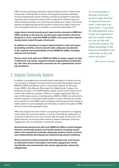<span id="page-18-0"></span>CBO interview participants identified capacity building needs to further these pivotal roles, including skills to develop winning grant proposals, identifying strong and appropriate project indicators, increasing management capacities, improving report writing and research skills to expand the evidence base and evidence-based planning, and monitoring and evaluating for impact. Community systems strengthening approaches promise to help ensure higher-impact projects and programs that are accountable to community stakeholders [17].

*Large donors should provide grant opportunities directly to MSM-led CBOs working on the ground, and the grant opportunities should be designed in such a way that MSM-led CBOs can access them without having funds routed through a third party.*

*In addition to investing in program implementation costs and capacity-building activities, donors should make adequate investments in the capacity and sustainability of local MSM-led CBOs, including salaries and overhead.* 

*Donors must work with local MSM-led CBOs to shape support so that it addresses real needs, targeted towards organizational sustainability, with clear and measurable outcomes for the organizations receiving assistance.* 

### 2. Integrate Community Systems

In addition to strengthening community-based organizations to deliver services, it is important to integrate community systems by supporting linkages between MSM-led CBOs and different actors in local health systems. As this study shows, MSM in Sub-Saharan Africa report the highest levels of stigma from healthcare providers in the GMHR global sample, and the fourth lowest level of comfort with healthcare providers. Violence and stigma significantly affect access to HIV-related services including testing. MSM-led CBOs are well-suited to build the capacity of mainstream health systems to ensure that they are friendly and competent to meet MSM needs, leveraging enduring government funding of health systems to work sustainably and effectively to improve the quality of MSM services across wide geographic areas.

While vital progress has been made in recognizing the importance of engaging communities and community systems, it must be noted that the appearance of community involvement is far more common than the reality. At this point in the global response, we must prioritize systems to assess meaningful community engagement, with accountability to community members.

*Governments should work with local MSM-led CBOs to build linkages between community systems and health systems, including sensitization and competency trainings, designing medical school curricula, and collaboratively developing and implementing shared initiatives.*

*Donors should prioritize proposals with adequate time and resources dedicated toward meaningful community engagement, including failsafes and assessments that ensure appropriate community engagement.*

"It is very possible to develop community groups to gain the level of expert services you need. I have seen it so many times – if you have the right approach and a longer term approach to get your quality outputs, you can do that with community systems. The added advantage is that they are embedded in the community, so they will outlive any grant."

—CBO Interview Participant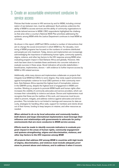### <span id="page-19-0"></span>3. Create an accountable environment conducive to service access

Policies that hinder access to HIV services by and for MSM, including criminalization of sex between men, must be addressed. Such policies undermine the ability of MSM to access services and the ability of community organizations to provide tailored services to MSM. CBO respondents highlighted the challenges that arise when a country's National AIDS Plan prioritizes addressing the epidemic among MSM while the Justice Department continues to treat MSM as criminals.

As shown in this report, LGBT-led CBOs conduct a number of interventions that aim to change the social environment in which MSM live. For decades, monitoring of MSM programs has focused on the numbers of condoms distributed and people put onto treatment. Today, donors and implementers are increasingly acknowledging the importance of addressing human rights, community systems, stigma, violence, and other key factors to the HIV response among MSM when evaluating program impact in Sub-Saharan Africa and globally*.* However, little work has been done to translate these sentiments into concrete indicators to evaluate success in these areas. Good indicators will provide stakeholders – beneficiaries, implementers, donors – with evidence to further improve access by MSM to HIV-related services.

Additionally, while many donors and implementers collaborate on projects that integrate local MSM-led CBOs to some degree, they rarely support protections against homophobic violence for local CBO partners or their community members. Sub-Saharan Africa reported the highest level of homophobic violence in the GMHR survey, despite the highest level of engagement in MSM communities. Working on projects to promote MSM health and human rights often increases the visibility of community advocates and service providers, which can increase their vulnerability to violence and abuse. Donors and implementers must recognize that these are the realities of this work, and resources must be provided to prevent, mitigate, and address violence against advocates and service providers. This includes but is not limited to trainings and resources for data security, strategies for handling office raids, support for members and clients driven out of their homes, funding to keep lawyers on retainer, and other resources as needed.

*When advised to do so by local advocates and community leaders, both donors and large international implementers must leverage their influence and relationships with governments to advocate for policy environments that are more conducive to MSM service access.*

*Efforts must be made to identify concrete indicators to evaluate program impact in the areas of human rights, community engagement and systems strengthening, stigma and discrimination, violence, and other key factors to the HIV response among MSM*.

*All projects that address HIV among MSM in countries with high levels of stigma, discrimination, and violence must include adequate provisions to prevent abuse and violence, and to address it when it occurs.*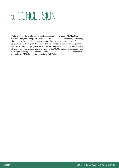# <span id="page-20-0"></span>5. CONCLUSION

We have reached a pivotal moment in the response to HIV among MSM in Sub-Saharan Africa, and the opportunity must not be overlooked. Successfully addressing HIV among MSM is challenging in every part of the world, and especially in Sub-Saharan Africa. The region's knowledge and experience are vital to achieving meaningful impact from HIV programming and ending the pandemic. With careful, respectful, and appropriate engagement and investment in CBOs, support of community and health system linkages, and creation of more accessible services, it is finally possible to envision an AIDS-Free future for MSM in Sub-Saharan Africa.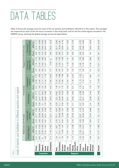## <span id="page-21-0"></span>DATA TABLES

[Table 4](#page-21-1) shows the average score for each of the six barriers and facilitators referred to in this report. The averages are measured for each of the five focus countries in this study brief, and for the five world regions included in the GMHR survey, showing the global average across all respondents.

<span id="page-21-1"></span>

| TABLE <sub>4</sub> |                                       |                          |                                  |       |                          |       |                                          |               |                        |               |                           |       |                                |
|--------------------|---------------------------------------|--------------------------|----------------------------------|-------|--------------------------|-------|------------------------------------------|---------------|------------------------|---------------|---------------------------|-------|--------------------------------|
|                    | Levels of barriers and facilit        |                          |                                  |       |                          |       | ators in different countries and regions |               |                        |               |                           |       |                                |
|                    |                                       |                          | Relationship with Provider       |       |                          |       |                                          | Homophobia    |                        |               | Engagement with Community |       |                                |
|                    |                                       |                          | ದ<br>Provider Stigm              |       | comfort with<br>provider |       | Homophobia                               |               | Homophobic<br>Violence |               | Engagement<br>Community   |       | to Gay Community<br>Connection |
|                    |                                       | Score                    | 95% CI                           | Score | 95% CI                   | Score | 95% CI                                   | Score         | 95% CI                 | Score         | 95% CI                    | Score | 95% Cl                         |
|                    | Kenya                                 | 2.44                     | 84]<br>[2.03; 2]                 | 3.03  | [2.77; 3.29]             | 3.63  | [3.49; 3.77]                             | 2.54          | [2.28; 2.79]           | 1.97          | [1.79:2.15]               | 3.95  | [3.74:4.17]                    |
|                    | Namibia                               | 3.63                     | 02]<br>[3.25; 4]                 | 2.56  | [2.28:2.84]              | 2.59  | [2.47:2.71]                              | 1.66          | [1.48:1.83]            | 1.64          | [1.46; 1.83]              | 3.79  | [3.58:3.99]                    |
|                    | Nigeria                               | $\overline{\mathcal{S}}$ | 42]<br>[2.78; 3]                 | 3.04  | [2.85; 3.23]             | 3.7   | [3.59; 3.81]                             | 1.97          | [1.77; 2.17]           | 1.84          | [1.69:1.99]               | 3.79  | [3.63; 3.95]                   |
| <b>Countries</b>   | South<br><b>Africa</b>                | 1.59                     | $\overline{6}$<br>[1.37; 1.      | 3.37  | [3.21; 3.53]             | 2.74  | [2.65 : 2.83]                            | 1.58          | [1.44; 1.72]           | 1.77          | [1.67:1.87]               | 3.69  | [3.54; 3.84]                   |
|                    | Zimbabwe                              | 2.14                     | 82]<br>$\ddot{\Omega}$<br>[1.46] | 2.75  | : 3.19<br>[2.31]         | 3.75  | : 3.97<br>[3.53                          | 2.23          | : 2.63<br>[1.83]       | 1.77          | [1.54; 2]                 | 3.63  | ; 4.03]<br>[3.22]              |
|                    |                                       |                          |                                  |       |                          |       |                                          |               |                        |               |                           |       |                                |
|                    | Asia                                  | 1.79                     | [1.7:1.87]                       | 2.76  | [2.71; 2.81]             | 3.23  | : 3.26<br>$\frac{2}{3}$                  | 1.26          | : 1.29<br>[1.22]       | 1.56          | : 1.59<br>[1.53]          | 3.23  | [3.17; 3.28]                   |
|                    | Caribbean                             | $\frac{0}{1}$            | $\overline{18}$<br>[1.61; 2]     | 3.17  | [2.98:3.36]              | 3.11  | [2.99:3.22]                              | $\frac{8}{1}$ | [1.62:1.98]            | 1.67          | [1.56; 1.79]              | 3.65  | .3.8<br>[3.49]                 |
|                    | Eastern<br>Europe                     | 1.79                     | த<br>1.68:1                      | 2.54  | : 2.6<br>[2.48]          | 3.49  | ; 3.53]<br>[3.46]                        | 1.72          | [1.65, 1.78]           | 1.44          | [1.41; 1.48]              | 3.12  | : 3.19<br>[3.06]               |
|                    | <b>America</b><br>Latin               | 1.79                     | $\overline{5}$<br>[1.67; 1]      | 3.02  | [2.95, 3.08]             | 3.25  | ; 3.29]<br>[3.21]                        | 1.59          | : 1.65<br>[1.53]       | 1.46          | : 1.5<br>[1.42]           | 3.28  | 3.35]<br>$\ddotsc$<br>[3.21]   |
| <b>Regions</b>     | East North<br>Middle<br><b>Africa</b> | 1.75                     | 08<br>[1.42; 2]                  | 2.34  | [2.08; 2.59]             | 3.71  | [3.59; 3.84]                             | 2.01          | [1.78; 2.24]           | 1.45          | [1.35; 1.55]              | 3.55  | [3.38; 3.73]                   |
|                    | Oceania                               | 1.42                     | 56]<br>[1.28; 1.                 | 4.06  | : 4.16<br>[3.97]         | 2.21  | : 2.28<br>[2.14]                         | 1.18          | : 1.22<br>[1.13]       | 1.72          | [1.66:1.79]               | 3.62  | : 3.72<br>[3.52]               |
|                    | Saharan<br><b>Africa</b><br>Sub       | 2.46                     | 61]<br>[2.31; 2]                 | 2.98  | [2.89; 3.07]             | 3.37  | [3.31, 3.43]                             | 2.01          | [1.91; 2.1]            | 1.82          | [1.76:1.89]               | 3.76  | [3.68; 3.84]                   |
|                    | Western<br>Europe                     | 1.65                     | [1.57; 1.72]                     | 3.83  | [3.78; 3.88]             | 2.41  | $[2.38 \; ; \; 2.44]$                    | 1.23          | [1.2; 1.25]            | $\frac{8}{1}$ | [1.76:1.83]               | 3.6   | [3.55; 3.65]                   |
|                    |                                       |                          |                                  |       |                          |       |                                          |               |                        |               |                           |       |                                |
|                    | Global                                | 1.81                     | [1.77; 1.86]                     | 3.13  | [3.1; 3.16]              | 3.06  | [3.04; 3.08]                             | 1.48          | [1.46; 1.5]            | 1.63          | [1.61; 1.64]              | 3.41  | [3.38; 3.44]                   |
|                    |                                       |                          |                                  |       |                          |       |                                          |               |                        |               |                           |       |                                |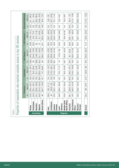| <b>HIV</b> Treatment<br>access to key HIV services<br>63.6<br>26.5<br>43.8<br>33.3<br>40.5<br>49.7<br>42.1<br>$\overline{C}$<br>$\overline{Q}$<br>$\infty$<br>26.<br>42.<br><u>တွ</u><br>73.<br>$\frac{4}{1}$<br>;40.6]<br>; 50.2]<br>; 60.1]<br>$\overline{\Sigma}$<br>;75.6]<br>72.9]<br>[24.9; 31.5]<br>;40.2]<br>[43.4; 51.9]<br>52.8<br>;69.6]<br>27.6]<br>$\begin{bmatrix} 0 \\ 1 \end{bmatrix}$<br>[61; 73.3]<br>$\frac{8}{3}$<br>$\overline{\circ}$<br><b>HIV</b> Testing<br>95%<br>$\cdot$ .<br>$\ddot{\phantom{0}}$<br>$\sim$<br>2<br>[54.2<br>56.4<br>[22.4]<br>[20.5]<br>[34.9]<br>[18.8]<br>[32.8]<br>[35.9]<br>[47.2]<br>Ξ.<br>$\frac{3}{2}$<br>$\overline{3}$<br>58.8<br>40.4<br>28.8<br>24.9<br>42.6<br>28.1<br>29.7<br>67.4<br>47.6<br>37.3<br>57.1<br>56<br>65<br>$\frac{6}{1}$<br>8 <sup>o</sup><br>respondents who reported complete<br>[44.2; 57.1]<br>[29.7; 35.3]<br>; 19.7]<br>; 28.1]<br>[14.9:20.5]<br>: 22.8<br>; 29.7]<br>;43.3]<br>39.4]<br>23.5<br>24.9]<br>26.6]<br>(11.7)<br>23]<br>$\overline{\circ}$<br>$\ddot{\phantom{1}}$<br>95%<br>Lubricants<br>$\ddot{\phantom{1}}$<br>[20.6<br>$\ddot{\phantom{0}}$<br>$\ddot{\phantom{0}}$<br>[16.2]<br>ِ<br>$[12.2]$<br>[25.3]<br>[15.3]<br>$\circ$<br>$[7.2]$<br>ΓÚ<br>[6.7]<br>ო<br>$\Xi$<br><u>ٰم</u><br>Ë<br>ഉ്<br>50.6<br>19.4<br>32.5<br>œ<br>19.5<br>19.2<br>13.5<br>33.9<br>16.2<br>19.1<br>17.4<br>19.2<br>17.6<br>9.3<br>$\infty$<br>$\overline{21}$<br>[48.6; 61.4]<br>[43.6; 49.4]<br>;65.7]<br>63.1]<br>; 50.4]<br>;76.5]<br>;40.4]<br>;46.9]<br>[22.2; 28.5]<br>; 33.4]<br>: 51.6<br>31.1<br>50]<br>37.7]<br>$\overline{\circ}$<br>Condoms<br>95%<br>[30.6]<br>$\ddot{\phantom{1}}$<br>$\ddot{\phantom{0}}$<br>[43.3]<br>[26.5]<br>rò.<br>[43.5<br>[23.4]<br>[23.9]<br>œ<br>[60.7<br>$[35]$<br>[26<br>$\frac{1}{2}$<br>$\overline{21}$<br>46.5<br>54.8<br>29.9<br>30.3<br>36.3<br>42.3<br>34.7<br>40.9<br>28.5<br>25.2<br>47.4<br>55.1<br>69<br>$\overline{4}$<br>8 <sup>o</sup><br>$\blacksquare$<br>South Africa<br><b>North Africa</b><br>Sub Sahara<br><b>Middle East</b><br>Proportion of<br>Zimbabwe<br>Caribbean<br>Namibia<br>Oceania<br><b>America</b><br>Western<br>Europe<br>Eastern<br>Nigeria<br>Europe<br>Global<br>Kenya<br><b>Africa</b><br>Latin |
|------------------------------------------------------------------------------------------------------------------------------------------------------------------------------------------------------------------------------------------------------------------------------------------------------------------------------------------------------------------------------------------------------------------------------------------------------------------------------------------------------------------------------------------------------------------------------------------------------------------------------------------------------------------------------------------------------------------------------------------------------------------------------------------------------------------------------------------------------------------------------------------------------------------------------------------------------------------------------------------------------------------------------------------------------------------------------------------------------------------------------------------------------------------------------------------------------------------------------------------------------------------------------------------------------------------------------------------------------------------------------------------------------------------------------------------------------------------------------------------------------------------------------------------------------------------------------------------------------------------------------------------------------------------------------------------------------------------------------------------------------------------------------------------------------------------------------------------------------------------------------------------------------------------------------------------------------------------------------------------------------------------------------------------------------------------------------------------------------------------------------------------------------------------------------------------------------------------------------------------------------------|
|                                                                                                                                                                                                                                                                                                                                                                                                                                                                                                                                                                                                                                                                                                                                                                                                                                                                                                                                                                                                                                                                                                                                                                                                                                                                                                                                                                                                                                                                                                                                                                                                                                                                                                                                                                                                                                                                                                                                                                                                                                                                                                                                                                                                                                                            |
|                                                                                                                                                                                                                                                                                                                                                                                                                                                                                                                                                                                                                                                                                                                                                                                                                                                                                                                                                                                                                                                                                                                                                                                                                                                                                                                                                                                                                                                                                                                                                                                                                                                                                                                                                                                                                                                                                                                                                                                                                                                                                                                                                                                                                                                            |
|                                                                                                                                                                                                                                                                                                                                                                                                                                                                                                                                                                                                                                                                                                                                                                                                                                                                                                                                                                                                                                                                                                                                                                                                                                                                                                                                                                                                                                                                                                                                                                                                                                                                                                                                                                                                                                                                                                                                                                                                                                                                                                                                                                                                                                                            |
|                                                                                                                                                                                                                                                                                                                                                                                                                                                                                                                                                                                                                                                                                                                                                                                                                                                                                                                                                                                                                                                                                                                                                                                                                                                                                                                                                                                                                                                                                                                                                                                                                                                                                                                                                                                                                                                                                                                                                                                                                                                                                                                                                                                                                                                            |
|                                                                                                                                                                                                                                                                                                                                                                                                                                                                                                                                                                                                                                                                                                                                                                                                                                                                                                                                                                                                                                                                                                                                                                                                                                                                                                                                                                                                                                                                                                                                                                                                                                                                                                                                                                                                                                                                                                                                                                                                                                                                                                                                                                                                                                                            |
|                                                                                                                                                                                                                                                                                                                                                                                                                                                                                                                                                                                                                                                                                                                                                                                                                                                                                                                                                                                                                                                                                                                                                                                                                                                                                                                                                                                                                                                                                                                                                                                                                                                                                                                                                                                                                                                                                                                                                                                                                                                                                                                                                                                                                                                            |
| Asia                                                                                                                                                                                                                                                                                                                                                                                                                                                                                                                                                                                                                                                                                                                                                                                                                                                                                                                                                                                                                                                                                                                                                                                                                                                                                                                                                                                                                                                                                                                                                                                                                                                                                                                                                                                                                                                                                                                                                                                                                                                                                                                                                                                                                                                       |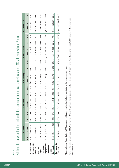| 0.246<br>0.802<br>0.703<br>0.776<br>0.142<br>0.017<br>$\Omega$<br>$177.70$ $[2.49 - 12697.48]$<br>238.08]<br>$-79.75$<br>$-11.39$<br>5.06]<br>3.04<br>95% CI<br>$\mathbf{I}$<br>$\mathsf I$<br>-1<br>[0.09]<br>[0.04<br>[0.04<br>[0.25]<br>$\subseteq$<br><b>AOR</b><br>0.68<br>0.04<br>0.70<br>1.74<br>7.64<br>0.001<br>0.495<br>0.044<br>0.018<br>0.554<br>0.947<br>$\mathbf{a}$<br>75.39]<br>49.59]<br>$10.7$ ]<br>1.89]<br>71.79]<br>6.35]<br>95% CI<br>$\mathbf I$<br>$\mathbf I$<br>$\mathbf{I}$<br>$\mathsf I$<br>$\mathsf I$<br>$\mathbf{I}$<br>[0.27]<br>[0.37]<br>[0.11]<br>[1.05]<br>[3.18]<br>$\frac{5}{1}$<br>10.36<br>15.48<br><b>AOR</b><br>1.08<br>1.54<br>7.23<br>0.71<br>50.001<br>0.004<br>0.022<br>0.007<br>0.011<br>0.381<br>$\Omega$<br>10.21]<br>28.74]<br>2.34]<br>$-0.82$ ]<br>0.5<br>0.6<br>95% CI<br>$\mathsf I$<br>$\mathbf{I}$<br>$\mathbf{I}$<br>$\mathsf I$<br>$\mathsf I$<br>[0.01]<br>[0.07]<br>[0.21]<br>[0.11]<br>[2.56]<br>[1.19]<br><b>AOR</b><br>8.59<br>3.49<br>0.20<br>0.42<br>0.50<br>0.08<br>0.082<br>0.722<br>0.532<br>0.056<br>0.017<br>0.072<br>$\Omega$<br>6<br>$\pm$<br>13.48]<br>2.77]<br>0.63<br>10.26]<br>23.9<br>12.1<br>95% CI<br>$\mathbf I$<br>$\mathsf I$<br>$\bar{1}$<br>$\mathsf I$<br>0.49<br>[0.01]<br>[0.86]<br>[0.96]<br>[0.3]<br>$\overline{0}$ .0<br><b>AOR</b><br>3.24<br>1.76<br>4.79<br>3.48<br>0.08<br>1.17<br>0.085<br>0.285<br>0.676<br>0.001<br>0.001<br>0.86<br>$\Omega$<br>$-14.11$ ]<br>21.81]<br>$2.14$ ]<br>$-1.08$<br>1.87]<br>$-4.4$ ]<br>95% CI<br>$\mathbf I$<br>$\mathbf{I}$<br>$\mathbf{I}$<br>[0.29]<br>[0.12]<br>[0.32]<br>[0.31]<br>[1.95]<br>[2.21]<br><b>AOR*</b><br>0.59<br>1.13<br>6.94<br>5.24<br>0.47<br>0.81<br>Homophobia<br>Homophobic<br>Engagement<br>Comfort with<br>Connection<br>Community<br>Community<br><b>Violence</b><br>Provider<br>Provider<br>stigma<br>to Gay |  | Lubricants | <b>HIV Testing</b> |  | <b>HIV Education</b> |  | <b>HIV Treatment**</b> |  |
|--------------------------------------------------------------------------------------------------------------------------------------------------------------------------------------------------------------------------------------------------------------------------------------------------------------------------------------------------------------------------------------------------------------------------------------------------------------------------------------------------------------------------------------------------------------------------------------------------------------------------------------------------------------------------------------------------------------------------------------------------------------------------------------------------------------------------------------------------------------------------------------------------------------------------------------------------------------------------------------------------------------------------------------------------------------------------------------------------------------------------------------------------------------------------------------------------------------------------------------------------------------------------------------------------------------------------------------------------------------------------------------------------------------------------------------------------------------------------------------------------------------------------------------------------------------------------------------------------------------------------------------------------------------------------------------------------------------------------------------------------------------------------------------------------------------------------------------------------------------------------|--|------------|--------------------|--|----------------------|--|------------------------|--|
|                                                                                                                                                                                                                                                                                                                                                                                                                                                                                                                                                                                                                                                                                                                                                                                                                                                                                                                                                                                                                                                                                                                                                                                                                                                                                                                                                                                                                                                                                                                                                                                                                                                                                                                                                                                                                                                                          |  |            |                    |  |                      |  |                        |  |
|                                                                                                                                                                                                                                                                                                                                                                                                                                                                                                                                                                                                                                                                                                                                                                                                                                                                                                                                                                                                                                                                                                                                                                                                                                                                                                                                                                                                                                                                                                                                                                                                                                                                                                                                                                                                                                                                          |  |            |                    |  |                      |  |                        |  |
|                                                                                                                                                                                                                                                                                                                                                                                                                                                                                                                                                                                                                                                                                                                                                                                                                                                                                                                                                                                                                                                                                                                                                                                                                                                                                                                                                                                                                                                                                                                                                                                                                                                                                                                                                                                                                                                                          |  |            |                    |  |                      |  |                        |  |
|                                                                                                                                                                                                                                                                                                                                                                                                                                                                                                                                                                                                                                                                                                                                                                                                                                                                                                                                                                                                                                                                                                                                                                                                                                                                                                                                                                                                                                                                                                                                                                                                                                                                                                                                                                                                                                                                          |  |            |                    |  |                      |  |                        |  |
|                                                                                                                                                                                                                                                                                                                                                                                                                                                                                                                                                                                                                                                                                                                                                                                                                                                                                                                                                                                                                                                                                                                                                                                                                                                                                                                                                                                                                                                                                                                                                                                                                                                                                                                                                                                                                                                                          |  |            |                    |  |                      |  |                        |  |
|                                                                                                                                                                                                                                                                                                                                                                                                                                                                                                                                                                                                                                                                                                                                                                                                                                                                                                                                                                                                                                                                                                                                                                                                                                                                                                                                                                                                                                                                                                                                                                                                                                                                                                                                                                                                                                                                          |  |            |                    |  |                      |  |                        |  |
|                                                                                                                                                                                                                                                                                                                                                                                                                                                                                                                                                                                                                                                                                                                                                                                                                                                                                                                                                                                                                                                                                                                                                                                                                                                                                                                                                                                                                                                                                                                                                                                                                                                                                                                                                                                                                                                                          |  |            |                    |  |                      |  |                        |  |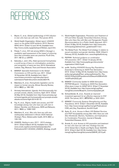## <span id="page-24-0"></span>REFERENCES

- 1. Beyrer, C., et al., *Global epidemiology of HIV infection in men who have sex with men.* The Lancet, 2012.
- 2. World Health Organization. *Global report: UNAIDS report on the global AIDS epidemic 2010*. Geneva: WHO 2010 [Cited 12 June 2014]; Available from: http://www.unaids.org/globalreport/Global\_report.htm.
- 3. Poteat, T., et al., *HIV risk among MSM in Senegal: a qualitative rapid assessment of the impact of enforcing laws that criminalize same sex practices.* PLoS One, 2011. **6**(12): p. e28760.
- 4. Itaborahy, L. and J. Zhu, *State-sponsored homophobia: a world survey of laws on criminalisation, protection, and recognition of same-sex love*. 2013, International Lesbian, Gay, Bisexual, Trans and Intersex Association.
- 5. MSMGF. *Specialist Submission to the Global Commission on HIV and the Law*. 2011 [Cited 16 November 2013]; Available from: http:// www.hivlawcommission.org/index.php/reportsubmissions?task=document.viewdoc&id=76.
- 6. Makofane, K., et al., *Homophobic legislation and its impact on human security.* African Security Review, 2014. **23**(2): p. 186-195.
- 7. Amnesty International. *Uganda: Anti-Homosexuality Act prompts arrests, attacks, evictions, flight*. 2014 [Cited 20 May 2014]; Available from: http://www.amnesty.org/ en/news/uganda-anti-homosexuality-act-prompts-arrestsattacks-evictions-flight-2014-05-15.
- 8. Fay, H., et al., *Stigma, health care access, and HIV knowledge among men who have sex with men in Malawi, Namibia, and Botswana.* AIDS and Behavior, 2011. **15**(6): p. 1088-1097.
- 9. Makofane, K., et al., *Men who have sex with men inadequately addressed in African AIDS National Strategic Plans.* Global public health, 2013. **8**(2): p. 129-143.
- 10. UNAIDS. *Getting to zero: 2011 2015 strategy*. 2010 [Cited 3 March 2012]; Available from: http:// www.unodc.org/documents/eastasiaandpacific/ Publications/2011/JC2034\_UNAIDS\_Strategy\_en.pdf.
- 11. World Health Organization. *Prevention and Treatment of HIV and Other Sexually Transmitted Infections Among Men who Have Sex with Men and Transgender People: Recommendations for a Public Health Approach*. 2011 [Cited 15 May 2014]; Available from: http://www.who. int/hiv/pub/guidelines/msm\_guidelines2011/en/.
- 12. The Global Fund. *The Global Fund strategy in relation to sexual orientation and gender identities*. 2009 [Cited 2 February 2012]; Available from: www.theglobalfund.org.
- 13. PEPFAR. *Technical guidance on combination HIV prevention*. 2011 [Cited 13 January 2012]; Available from: http://www.pepfar.gov/documents/ organization/164010.pdf.
- 14. amfAr. *Tackling HIV/AIDS Among Key Populations: Essential to Achieving an AIDS-Free Generation*. 2013 [Cited 14 May 2014]; Available from: http://www. amfar.org/uploadedFiles/\_amfarorg/Articles/On\_The\_ Hill/2013/Key%20Populations%20Issue%20Brief%20 -%20Final%20(2).pdf.
- 15. MSMGF. *Community Update for MSM Advocates: PEPFAR Blueprint - Creating an AIDS-Free Generation. What does it mean for MSM?* 2012 [Cited 17 November 2013]; Available from: http://www.msmgf.org/files/ msmgf/documents/Blueprint\_CommunityUpdate.pdf.
- 16. Schwartländer, B., et al., *Towards an improved investment approach for an effective response to HIV/ AIDS.* The Lancet, 2011. **377**(9782): p. 2031-2041.
- 17. MSMGF. *Community Systems Strengthening and Key Populations*. 2013 [Cited 1 December 2013]; Available from: http://www.msmgf.org/files/msmgf//Publications/ CSS\_and\_Key\_Populations\_3oct2013.pdf.
- 18. Ayala, G., et al., *Access to Basic HIV-Related Services and PrEP Acceptability among Men Who Have sex with Men Worldwide: Barriers, Facilitators, and Implications for Combination Prevention.* Journal of Sexually Transmitted Diseases, 2013.
- 19. Arreola, S., et al. *Access to HIV prevention and treatment for men who have sex with men: Findings from the 2012 Global Men's Health and Rights Study (GMHR)*. 2012 [Cited 4 April 2013]; Available from: http://www. msmgf.org/files/msmgf/documents/GMHR\_2012.pdf.